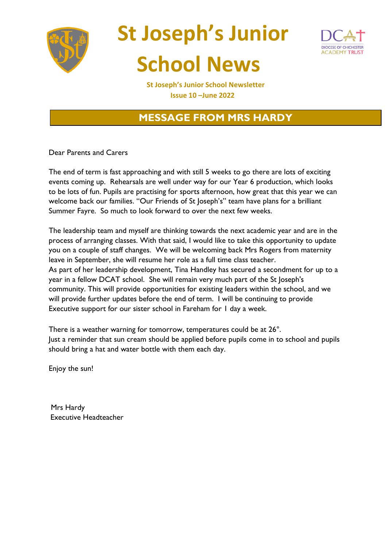





 **St Joseph's Junior School Newsletter Issue 10 –June 2022**

## **MESSAGE FROM MRS HARDY**

Dear Parents and Carers

The end of term is fast approaching and with still 5 weeks to go there are lots of exciting events coming up. Rehearsals are well under way for our Year 6 production, which looks to be lots of fun. Pupils are practising for sports afternoon, how great that this year we can welcome back our families. "Our Friends of St Joseph's" team have plans for a brilliant Summer Fayre. So much to look forward to over the next few weeks.

The leadership team and myself are thinking towards the next academic year and are in the process of arranging classes. With that said, I would like to take this opportunity to update you on a couple of staff changes. We will be welcoming back Mrs Rogers from maternity leave in September, she will resume her role as a full time class teacher. As part of her leadership development, Tina Handley has secured a secondment for up to a year in a fellow DCAT school. She will remain very much part of the St Joseph's community. This will provide opportunities for existing leaders within the school, and we will provide further updates before the end of term. I will be continuing to provide Executive support for our sister school in Fareham for 1 day a week.

There is a weather warning for tomorrow, temperatures could be at 26°. Just a reminder that sun cream should be applied before pupils come in to school and pupils should bring a hat and water bottle with them each day.

Enjoy the sun!

Mrs Hardy Executive Headteacher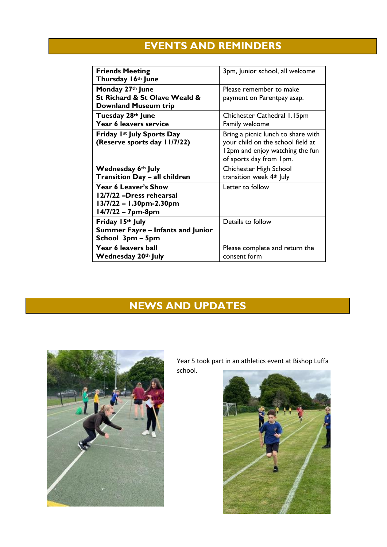# **EVENTS AND REMINDERS**

| <b>Friends Meeting</b><br>Thursday 16th June                                                     | 3pm, Junior school, all welcome                                                                                                       |
|--------------------------------------------------------------------------------------------------|---------------------------------------------------------------------------------------------------------------------------------------|
| Monday 27th June<br>St Richard & St Olave Weald &<br><b>Downland Museum trip</b>                 | Please remember to make<br>payment on Parentpay asap.                                                                                 |
| Tuesday 28th June<br>Year 6 leavers service                                                      | Chichester Cathedral 1.15pm<br>Family welcome                                                                                         |
| Friday 1st July Sports Day<br>(Reserve sports day 11/7/22)                                       | Bring a picnic lunch to share with<br>your child on the school field at<br>12pm and enjoy watching the fun<br>of sports day from 1pm. |
| Wednesday 6th July<br><b>Transition Day - all children</b>                                       | Chichester High School<br>transition week 4th July                                                                                    |
| Year 6 Leaver's Show<br>12/7/22 -Dress rehearsal<br>13/7/22 – 1.30pm-2.30pm<br>14/7/22 - 7pm-8pm | Letter to follow                                                                                                                      |
| Friday 15th July<br><b>Summer Fayre – Infants and Junior</b><br>School 3pm – 5pm                 | Details to follow                                                                                                                     |
| Year 6 leavers ball<br>Wednesday 20th July                                                       | Please complete and return the<br>consent form                                                                                        |

# **NEWS AND UPDATES**



Year 5 took part in an athletics event at Bishop Luffa school.

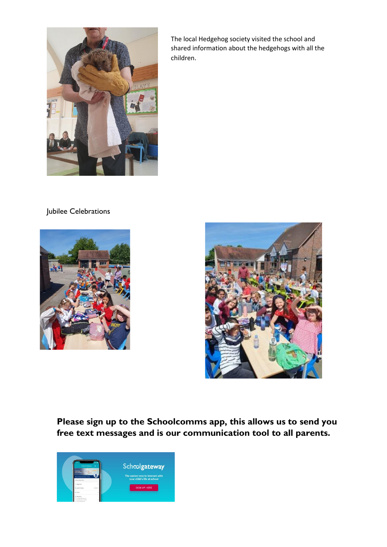

The local Hedgehog society visited the school and shared information about the hedgehogs with all the children.

Jubilee Celebrations





**Please sign up to the Schoolcomms app, this allows us to send you free text messages and is our communication tool to all parents.**

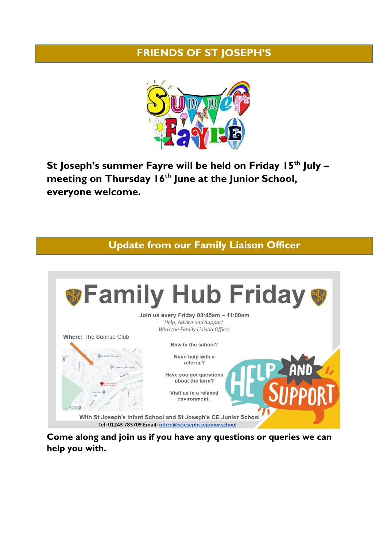#### **FRIENDS OF ST JOSEPH'S**



**St Joseph's summer Fayre will be held on Friday 15th July – meeting on Thursday 16th June at the Junior School, everyone welcome.**

**Update from our Family Liaison Officer**



**Come along and join us if you have any questions or queries we can help you with.**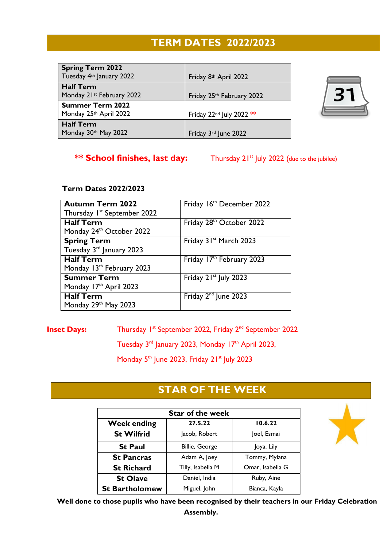## **TERM DATES 2022/2023**

| <b>Spring Term 2022</b><br>Tuesday 4th January 2022 | Friday 8th April 2022                |                |
|-----------------------------------------------------|--------------------------------------|----------------|
| <b>Half Term</b><br>Monday 21st February 2022       | Friday 25th February 2022            | 3 <sup>7</sup> |
| <b>Summer Term 2022</b><br>Monday 25th April 2022   | Friday 22 <sup>nd</sup> July 2022 ** |                |
| <b>Half Term</b><br>Monday 30th May 2022            | Friday 3rd June 2022                 |                |



#### **Term Dates 2022/2023**

| <b>Autumn Term 2022</b>                 | Friday 16th December 2022         |
|-----------------------------------------|-----------------------------------|
| Thursday I <sup>st</sup> September 2022 |                                   |
| <b>Half Term</b>                        | Friday 28th October 2022          |
| Monday 24 <sup>th</sup> October 2022    |                                   |
| <b>Spring Term</b>                      | Friday 31st March 2023            |
| Tuesday 3rd January 2023                |                                   |
| <b>Half Term</b>                        | Friday 17th February 2023         |
| Monday 13th February 2023               |                                   |
| <b>Summer Term</b>                      | Friday 21 <sup>st</sup> July 2023 |
| Monday 17th April 2023                  |                                   |
| <b>Half Term</b>                        | Friday 2 <sup>nd</sup> June 2023  |
| Monday 29th May 2023                    |                                   |

**Inset Days:** Thursday 1<sup>st</sup> September 2022, Friday 2<sup>nd</sup> September 2022

Tuesday 3<sup>rd</sup> January 2023, Monday 17<sup>th</sup> April 2023,

Monday 5<sup>th</sup> June 2023, Friday 21<sup>st</sup> July 2023

## **STAR OF THE WEEK**

| <b>Star of the week</b> |                   |                  |  |
|-------------------------|-------------------|------------------|--|
| <b>Week ending</b>      | 27.5.22           | 10.6.22          |  |
| <b>St Wilfrid</b>       | Jacob, Robert     | Joel, Esmai      |  |
| <b>St Paul</b>          | Billie, George    | Joya, Lily       |  |
| <b>St Pancras</b>       | Adam A, Joey      | Tommy, Mylana    |  |
| <b>St Richard</b>       | Tilly, Isabella M | Omar, Isabella G |  |
| <b>St Olave</b>         | Daniel, India     | Ruby, Aine       |  |
| <b>St Bartholomew</b>   | Miguel, John      | Bianca, Kayla    |  |